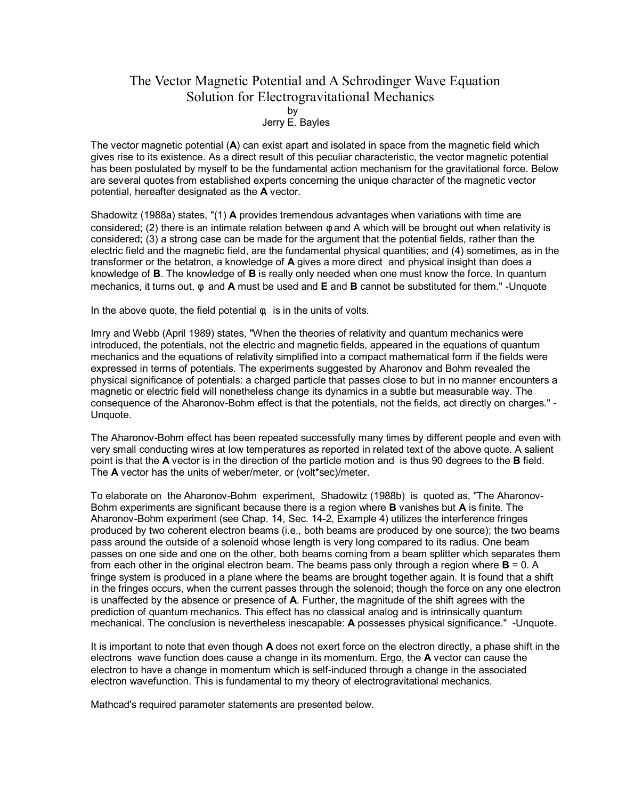## The Vector Magnetic Potential and A Schrodinger Wave Equation Solution for Electrogravitational Mechanics<br>by

by the contract of the contract of the contract of the contract of the contract of the contract of the contract of the contract of the contract of the contract of the contract of the contract of the contract of the contrac

Jerry E. Bayles

The vector magnetic potential (**A**) can exist apart and isolated in space from the magnetic field which gives rise to its existence. As a direct result of this peculiar characteristic, the vector magnetic potential has been postulated by myself to be the fundamental action mechanism for the gravitational force. Below are several quotes from established experts concerning the unique character of the magnetic vector potential, hereafter designated as the **A** vector.

Shadowitz (1988a) states, "(1) **A** provides tremendous advantages when variations with time are considered; (2) there is an intimate relation between  $\phi$  and A which will be brought out when relativity is considered; (3) a strong case can be made for the argument that the potential fields, rather than the electric field and the magnetic field, are the fundamental physical quantities; and (4) sometimes, as in the transformer or the betatron, a knowledge of **A** gives a more direct and physical insight than does a knowledge of **B**. The knowledge of **B** is really only needed when one must know the force. In quantum mechanics, it turns out, φ and **A** must be used and **E** and **B** cannot be substituted for them." -Unquote

In the above quote, the field potential  $\phi$ , is in the units of volts.

Imry and Webb (April 1989) states, "When the theories of relativity and quantum mechanics were introduced, the potentials, not the electric and magnetic fields, appeared in the equations of quantum mechanics and the equations of relativity simplified into a compact mathematical form if the fields were expressed in terms of potentials. The experiments suggested by Aharonov and Bohm revealed the physical significance of potentials: a charged particle that passes close to but in no manner encounters a magnetic or electric field will nonetheless change its dynamics in a subtle but measurable way. The consequence of the Aharonov-Bohm effect is that the potentials, not the fields, act directly on charges." - Unquote.

The Aharonov-Bohm effect has been repeated successfully many times by different people and even with very small conducting wires at low temperatures as reported in related text of the above quote. A salient point is that the **A** vector is in the direction of the particle motion and is thus 90 degrees to the **B** field. The **A** vector has the units of weber/meter, or (volt\*sec)/meter.

To elaborate on the Aharonov-Bohm experiment, Shadowitz (1988b) is quoted as, "The Aharonov-Bohm experiments are significant because there is a region where **B** vanishes but **A** is finite. The Aharonov-Bohm experiment (see Chap. 14, Sec. 14-2, Example 4) utilizes the interference fringes produced by two coherent electron beams (i.e., both beams are produced by one source); the two beams pass around the outside of a solenoid whose length is very long compared to its radius. One beam passes on one side and one on the other, both beams coming from a beam splitter which separates them from each other in the original electron beam. The beams pass only through a region where **B** = 0. A fringe system is produced in a plane where the beams are brought together again. It is found that a shift in the fringes occurs, when the current passes through the solenoid; though the force on any one electron is unaffected by the absence or presence of **A**. Further, the magnitude of the shift agrees with the prediction of quantum mechanics. This effect has no classical analog and is intrinsically quantum mechanical. The conclusion is nevertheless inescapable: **A** possesses physical significance." -Unquote.

It is important to note that even though **A** does not exert force on the electron directly, a phase shift in the electrons wave function does cause a change in its momentum. Ergo, the **A** vector can cause the electron to have a change in momentum which is self-induced through a change in the associated electron wavefunction. This is fundamental to my theory of electrogravitational mechanics.

Mathcad's required parameter statements are presented below.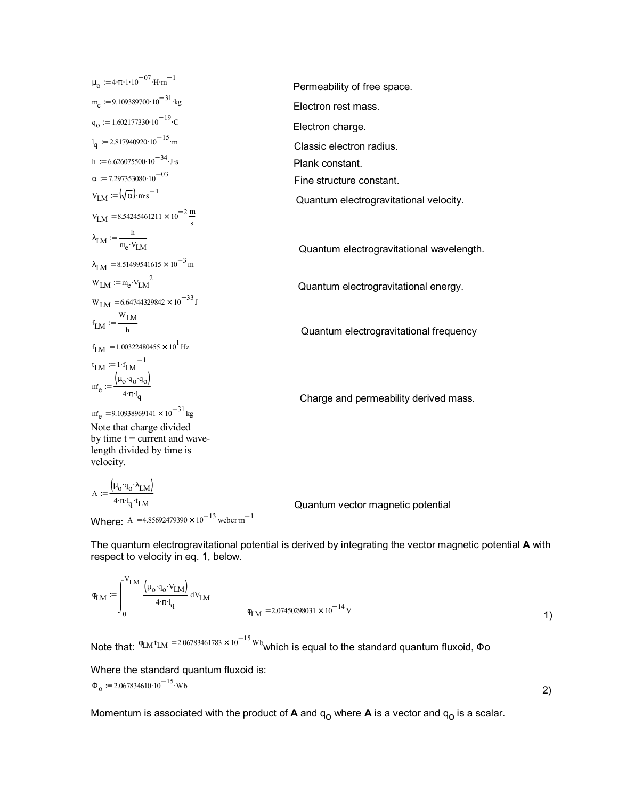| $\mu_0 := 4 \cdot \pi \cdot 1 \cdot 10^{-07} \cdot H \cdot m^{-1}$           | Permeability of free space.              |
|------------------------------------------------------------------------------|------------------------------------------|
| $m_e := 9.109389700 \cdot 10^{-31}$ kg                                       | Electron rest mass.                      |
| $q_0 = 1.602177330 \cdot 10^{-19} \cdot C$                                   | Electron charge.                         |
| $l_{\text{q}} \coloneqq 2.817940920 \cdot 10^{-15} \cdot \text{m}$           | Classic electron radius.                 |
| $h = 6.626075500 \cdot 10^{-34}$ J s                                         | Plank constant.                          |
| $\alpha = 7.297353080 \cdot 10^{-03}$                                        | Fine structure constant.                 |
| $V_{IM} = (\sqrt{\alpha}) \cdot m s^{-1}$                                    | Quantum electrogravitational velocity.   |
| $V_{LM} = 8.54245461211 \times 10^{-2} \frac{m}{s}$                          |                                          |
| $\lambda_{LM} \coloneqq \frac{h}{m_{\mathbf{a}} \cdot V_{IM}}$               | Quantum electrogravitational wavelength. |
| $\lambda_{LM}$ = 8.51499541615 × 10 <sup>-3</sup> m                          |                                          |
| $W_{LM} = m_e V_{LM}^2$                                                      | Quantum electrogravitational energy.     |
| $W_{LM} = 6.64744329842 \times 10^{-33}$ J                                   |                                          |
| $f_{LM} = \frac{W_{LM}}{R}$                                                  | Quantum electrogravitational frequency   |
| $f_{LM} = 1.00322480455 \times 10^{1}$ Hz                                    |                                          |
| $t_{LM} = 1 \cdot f_{IM}^{-1}$                                               |                                          |
| $m'_{e} = \frac{(\mu_{0} \cdot q_{0} \cdot q_{0})}{4 \cdot \pi \cdot l_{0}}$ | Charge and permeability derived mass.    |
| $m'_{\rm e}$ = 9.10938969141 × 10 <sup>-31</sup> kg                          |                                          |
| Note that charge divided                                                     |                                          |

Note that charge divided by time  $t =$  current and wavelength divided by time is velocity.

$$
A = \frac{\left(\mu_0 \cdot q_0 \cdot \lambda_{LM}\right)}{4 \cdot \pi \cdot l_q \cdot t_{LM}}
$$
 Quantum vector magnetic potential  
Where: A = 4.85692479390 × 10<sup>-13</sup> weber m<sup>-1</sup>

The quantum electrogravitational potential is derived by integrating the vector magnetic potential **A** with respect to velocity in eq. 1, below.

$$
\phi_{LM} = \int_{0}^{V_{LM}} \frac{\left(\mu_0 \cdot q_0 \cdot V_{LM}\right)}{4\pi \cdot l_q} dV_{LM}
$$
\n
$$
\phi_{LM} = 2.07450298031 \times 10^{-14} \,\text{V}
$$
\n
$$
\tag{1}
$$

Note that:  ${}^{\Phi_{\rm LM} \rm t_{LM}$  = 2.06783461783  $\times$  10<sup>–15</sup> wb<sub>which</sub> is equal to the standard quantum fluxoid,  $\Phi{\rm o}$ 

Where the standard quantum fluxoid is:

 $\Phi$ <sub>O</sub> = 2.067834610 10<sup>-15</sup> Wb

Momentum is associated with the product of  $A$  and  $q_0$  where  $A$  is a vector and  $q_0$  is a scalar.

2)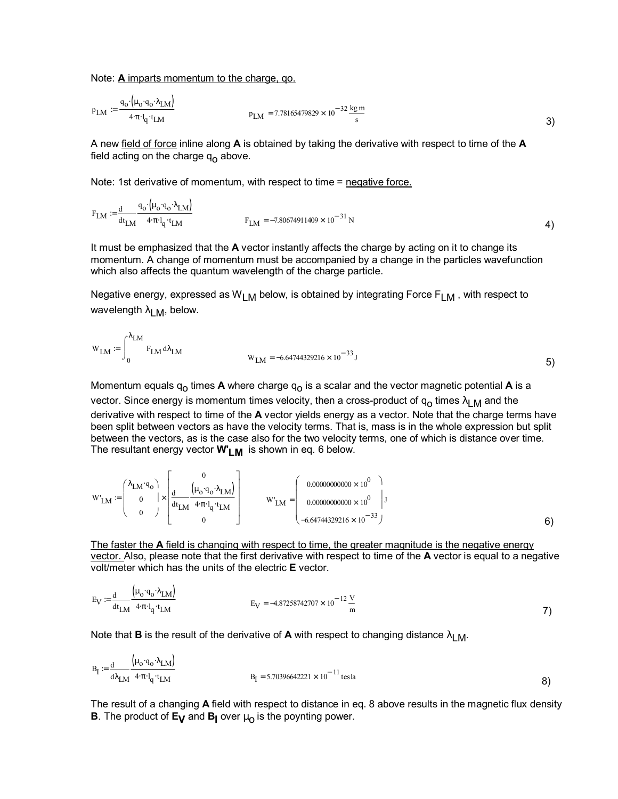Note: **A** imparts momentum to the charge, qo.

$$
p_{LM} = \frac{q_0 \cdot (\mu_0 \cdot q_0 \cdot \lambda_{LM})}{4 \cdot \pi \cdot l_q \cdot t_{LM}}
$$
  
 
$$
p_{LM} = 7.78165479829 \times 10^{-32} \frac{\text{kg m}}{\text{s}}
$$

A new field of force inline along **A** is obtained by taking the derivative with respect to time of the **A** field acting on the charge  $q_0$  above.

Note: 1st derivative of momentum, with respect to time = negative force.

$$
F_{LM} := \frac{d}{dt_{LM}} \frac{q_0 \cdot (\mu_0 \cdot q_0 \cdot \lambda_{LM})}{4 \cdot \pi \cdot l_q \cdot t_{LM}}
$$
  
 
$$
F_{LM} = -7.80674911409 \times 10^{-31} N
$$

It must be emphasized that the **A** vector instantly affects the charge by acting on it to change its momentum. A change of momentum must be accompanied by a change in the particles wavefunction which also affects the quantum wavelength of the charge particle.

Negative energy, expressed as  $W_{LM}$  below, is obtained by integrating Force  $F_{LM}$ , with respect to wavelength  $\lambda_{LM}$ , below.

$$
W_{LM} = \int_0^{\lambda_{LM}} F_{LM} d\lambda_{LM}
$$
  
W<sub>LM</sub> = -6.64744329216 × 10<sup>-33</sup> J

Momentum equals  $q_0$  times **A** where charge  $q_0$  is a scalar and the vector magnetic potential **A** is a vector. Since energy is momentum times velocity, then a cross-product of  $q_0$  times  $\lambda_{LM}$  and the derivative with respect to time of the **A** vector yields energy as a vector. Note that the charge terms have been split between vectors as have the velocity terms. That is, mass is in the whole expression but split between the vectors, as is the case also for the two velocity terms, one of which is distance over time. The resultant energy vector **W'LM** is shown in eq. 6 below.

$$
W'_{LM} = \begin{pmatrix} \lambda_{LM} q_o \\ 0 \\ 0 \end{pmatrix} \times \begin{pmatrix} 0 \\ \frac{d}{dt_{LM}} \frac{(\mu_o q_o \lambda_{LM})}{4 \pi \cdot l_q \cdot t_{LM}} \\ 0 \end{pmatrix} \qquad W'_{LM} = \begin{pmatrix} 0.0000000000 \times 10^0 \\ 0.0000000000 \times 10^0 \\ 0.0000000000 \times 10^0 \\ -6.64744329216 \times 10^{-33} \end{pmatrix}
$$

The faster the **A** field is changing with respect to time, the greater magnitude is the negative energy vector. Also, please note that the first derivative with respect to time of the **A** vector is equal to a negative volt/meter which has the units of the electric **E** vector.

$$
E_V = \frac{d}{dt_{LM}} \frac{\left(\mu_o \cdot q_o \cdot \lambda_{LM}\right)}{4 \pi \cdot l_q \cdot t_{LM}}
$$
  
 
$$
E_V = -4.87258742707 \times 10^{-12} \frac{V}{m}
$$
 (7)

Note that **B** is the result of the derivative of **A** with respect to changing distance λ<sub>LM</sub>.

$$
B_{I} = \frac{d}{d\lambda_{LM}} \frac{\left(\mu_{O} \cdot q_{O} \cdot \lambda_{LM}\right)}{4 \pi \cdot l_{q} \cdot t_{LM}}
$$
  
B<sub>I</sub> = 5.70396642221 × 10<sup>-11</sup> tesla

The result of a changing **A** field with respect to distance in eq. 8 above results in the magnetic flux density **B**. The product of  $E_V$  and  $B_I$  over  $\mu_O$  is the poynting power.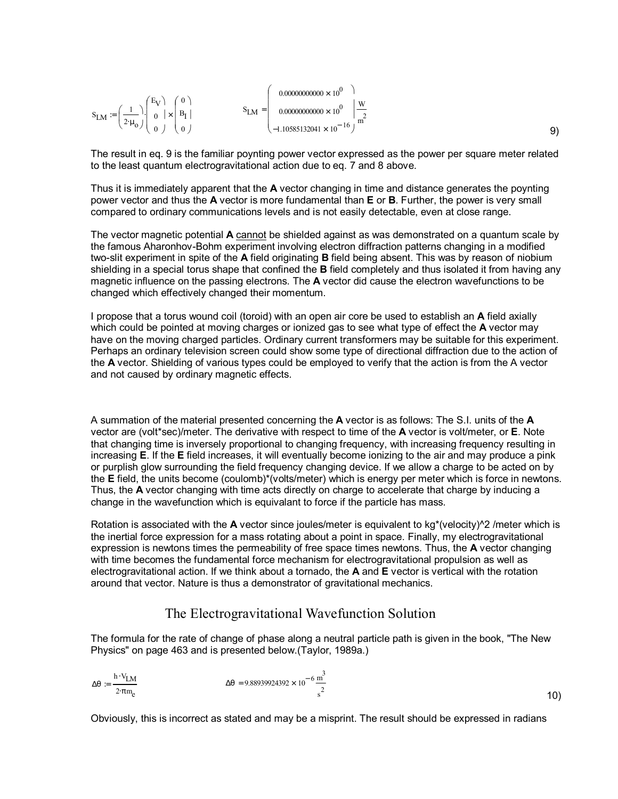$$
S_{LM} = \left(\frac{1}{2 \mu_0}\right) \begin{bmatrix} E_V \\ 0 \\ 0 \end{bmatrix} \times \begin{bmatrix} 0 \\ B_I \\ 0 \end{bmatrix} \qquad S_{LM} = \begin{bmatrix} 0.0000000000 \times 10^0 \\ 0.0000000000 \times 10^0 \\ -1.10585132041 \times 10^{-16} \end{bmatrix} \begin{bmatrix} W \\ W \\ m^2 \end{bmatrix}
$$

The result in eq. 9 is the familiar poynting power vector expressed as the power per square meter related to the least quantum electrogravitational action due to eq. 7 and 8 above.

Thus it is immediately apparent that the **A** vector changing in time and distance generates the poynting power vector and thus the **A** vector is more fundamental than **E** or **B**. Further, the power is very small compared to ordinary communications levels and is not easily detectable, even at close range.

The vector magnetic potential **A** cannot be shielded against as was demonstrated on a quantum scale by the famous Aharonhov-Bohm experiment involving electron diffraction patterns changing in a modified two-slit experiment in spite of the **A** field originating **B** field being absent. This was by reason of niobium shielding in a special torus shape that confined the **B** field completely and thus isolated it from having any magnetic influence on the passing electrons. The **A** vector did cause the electron wavefunctions to be changed which effectively changed their momentum.

I propose that a torus wound coil (toroid) with an open air core be used to establish an **A** field axially which could be pointed at moving charges or ionized gas to see what type of effect the **A** vector may have on the moving charged particles. Ordinary current transformers may be suitable for this experiment. Perhaps an ordinary television screen could show some type of directional diffraction due to the action of the **A** vector. Shielding of various types could be employed to verify that the action is from the A vector and not caused by ordinary magnetic effects.

A summation of the material presented concerning the **A** vector is as follows: The S.I. units of the **A** vector are (volt\*sec)/meter. The derivative with respect to time of the **A** vector is volt/meter, or **E**. Note that changing time is inversely proportional to changing frequency, with increasing frequency resulting in increasing **E**. If the **E** field increases, it will eventually become ionizing to the air and may produce a pink or purplish glow surrounding the field frequency changing device. If we allow a charge to be acted on by the **E** field, the units become (coulomb)\*(volts/meter) which is energy per meter which is force in newtons. Thus, the **A** vector changing with time acts directly on charge to accelerate that charge by inducing a change in the wavefunction which is equivalant to force if the particle has mass.

Rotation is associated with the **A** vector since joules/meter is equivalent to kg\*(velocity)^2 /meter which is the inertial force expression for a mass rotating about a point in space. Finally, my electrogravitational expression is newtons times the permeability of free space times newtons. Thus, the **A** vector changing with time becomes the fundamental force mechanism for electrogravitational propulsion as well as electrogravitational action. If we think about a tornado, the **A** and **E** vector is vertical with the rotation around that vector. Nature is thus a demonstrator of gravitational mechanics.

## The Electrogravitational Wavefunction Solution

The formula for the rate of change of phase along a neutral particle path is given in the book, "The New Physics" on page 463 and is presented below.(Taylor, 1989a.)

$$
\Delta\theta = 9.88939924392 \times 10^{-6} \frac{\text{m}^3}{\text{s}^2}
$$

Obviously, this is incorrect as stated and may be a misprint. The result should be expressed in radians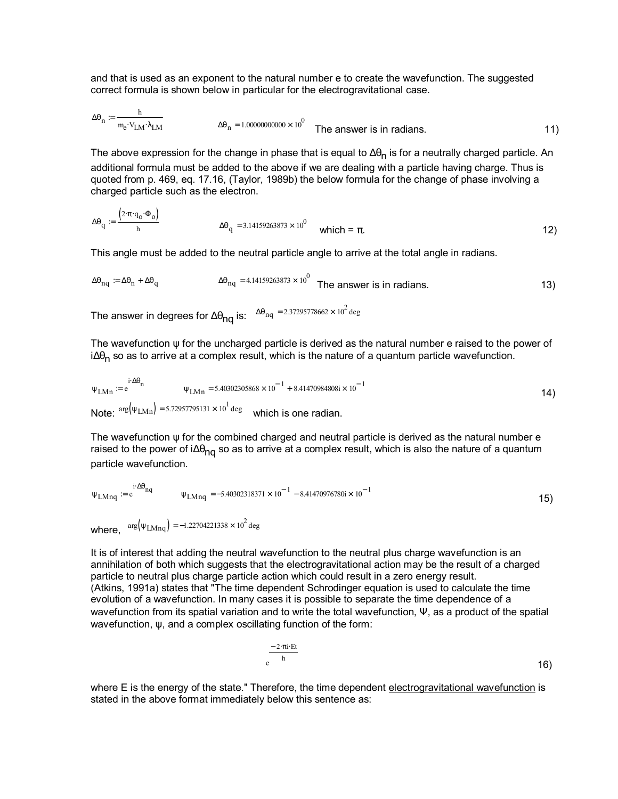and that is used as an exponent to the natural number e to create the wavefunction. The suggested correct formula is shown below in particular for the electrogravitational case.

$$
\Delta\theta_n = \frac{h}{m_e \cdot V_{LM} \cdot \lambda_{LM}}
$$
\n
$$
\Delta\theta_n = 1.00000000000 \times 10^0
$$
\nThe answer is in radians.

The above expression for the change in phase that is equal to ∆ $\theta_{\sf n}$  is for a neutrally charged particle. An additional formula must be added to the above if we are dealing with a particle having charge. Thus is quoted from p. 469, eq. 17.16, (Taylor, 1989b) the below formula for the change of phase involving a charged particle such as the electron.

$$
\Delta\theta_{q} = \frac{(2 \cdot \pi \cdot q_{o} \cdot \Phi_{o})}{h}
$$
\n
$$
\Delta\theta_{q} = 3.14159263873 \times 10^{0}
$$
\nwhich =  $\pi$ .

This angle must be added to the neutral particle angle to arrive at the total angle in radians.

$$
\Delta\theta_{nq} = \Delta\theta_n + \Delta\theta_q
$$
\n
$$
\Delta\theta_{nq} = 4.14159263873 \times 10^0
$$
\nThe answer is in radians.

The answer in degrees for ∆θ<sub>nq</sub> is:  $^{\circ}$  <sup>∆θ</sup>nq <sup>= 2.37295778662 $\times$  10<sup>2</sup> deg</sup>

The wavefunction  $\psi$  for the uncharged particle is derived as the natural number e raised to the power of i∆ $\theta_0$  so as to arrive at a complex result, which is the nature of a quantum particle wavefunction.

$$
\Psi_{\text{LMn}} = e^{i\Delta\theta_{\text{n}}}
$$
\n
$$
\Psi_{\text{LMn}} = 5.40302305868 \times 10^{-1} + 8.41470984808i \times 10^{-1}
$$
\nNote:  $arg(\Psi_{\text{LMn}}) = 5.72957795131 \times 10^{1}$  deg which is one radian.

The wavefunction  $\psi$  for the combined charged and neutral particle is derived as the natural number e raised to the power of i∆θ<sub>ng</sub> so as to arrive at a complex result, which is also the nature of a quantum particle wavefunction.

$$
\Psi_{LMnq} := e^{i\Delta\theta_{nq}} \qquad \Psi_{LMnq} = -5.40302318371 \times 10^{-1} - 8.41470976780 \times 10^{-1}
$$

where,  $\text{arg}(\Psi_{\text{LMnq}}) = -1.22704221338 \times 10^2 \text{ deg}$ 

It is of interest that adding the neutral wavefunction to the neutral plus charge wavefunction is an annihilation of both which suggests that the electrogravitational action may be the result of a charged particle to neutral plus charge particle action which could result in a zero energy result. (Atkins, 1991a) states that "The time dependent Schrodinger equation is used to calculate the time evolution of a wavefunction. In many cases it is possible to separate the time dependence of a wavefunction from its spatial variation and to write the total wavefunction, Ψ, as a product of the spatial wavefunction, ψ, and a complex oscillating function of the form:

$$
\frac{-2\cdot\pi i \cdot Et}{e}
$$

where E is the energy of the state." Therefore, the time dependent electrogravitational wavefunction is stated in the above format immediately below this sentence as: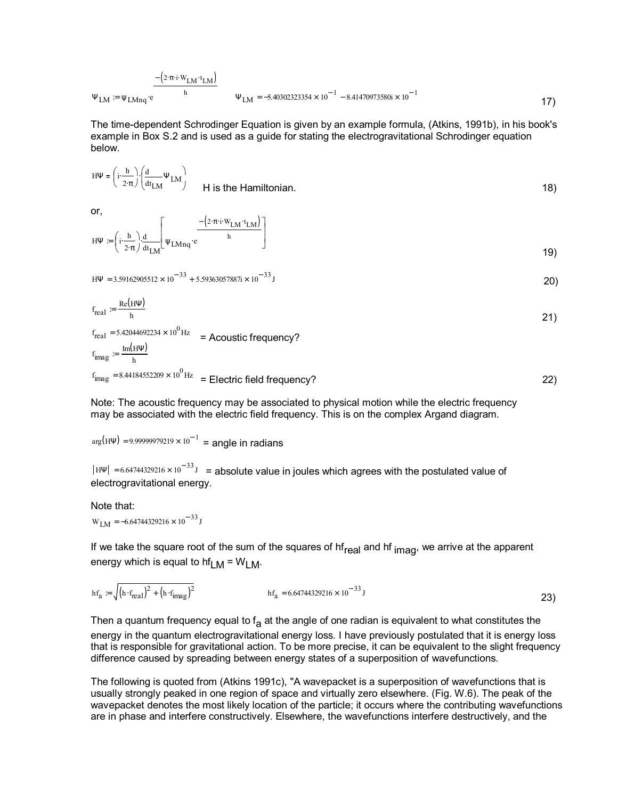$$
\Psi_{LM} := \Psi_{LMnq} \cdot e^{\frac{-\left(2 \cdot \pi \cdot i \cdot W_{LM} \cdot t_{LM}\right)}{h}} \qquad \Psi_{LM} = -5.40302323354 \times 10^{-1} - 8.41470973580i \times 10^{-1}
$$

The time-dependent Schrodinger Equation is given by an example formula, (Atkins, 1991b), in his book's example in Box S.2 and is used as a guide for stating the electrogravitational Schrodinger equation below.

$$
H\Psi = \left(i \frac{h}{2\pi}\right) \left(\frac{d}{dt_{LM}} \Psi_{LM}\right)
$$
  
\n
$$
H \text{ is the Hamiltonian.}
$$
\n18)  
\n
$$
H\Psi := \left(i \frac{h}{2\pi}\right) \frac{d}{dt_{LM}} \left[\Psi_{LMnq} \cdot e^{-\frac{-(2\pi i \cdot W_{LM} \cdot t_{LM})}{h}}\right]
$$
\n19)  
\n
$$
H\Psi = 3.59162905512 \times 10^{-33} + 5.59363057887 i \times 10^{-33} J
$$
\n19)  
\n
$$
f_{real} = \frac{Re(H\Psi)}{h}
$$
\n
$$
f_{real} = 5.42044692234 \times 10^{0} Hz = Acoustic frequency?
$$
\n
$$
f_{imag} = \frac{Im(H\Psi)}{h}
$$
\n21)  
\n
$$
f_{imag} = 8.44184552209 \times 10^{0} Hz = Electric field frequency?
$$

Note: The acoustic frequency may be associated to physical motion while the electric frequency may be associated with the electric field frequency. This is on the complex Argand diagram.

 $\arg(H\Psi) = 9.99999979219 \times 10^{-1}$  = angle in radians

 $HP| = 6.64744329216 \times 10^{-33} J$  = absolute value in joules which agrees with the postulated value of electrogravitational energy.

Note that:

 $W_{IM} = -6.64744329216 \times 10^{-33}$  J

If we take the square root of the sum of the squares of hf<sub>real</sub> and hf <sub>imag</sub>, we arrive at the apparent energy which is equal to hf $_{\mathsf{LM}}$  = W $_{\mathsf{LM}}$ .

$$
hf_a = \sqrt{(h \cdot f_{real})^2 + (h \cdot f_{imag})^2}
$$
 
$$
hf_a = 6.64744329216 \times 10^{-33} J
$$
 (23)

Then a quantum frequency equal to  $f_a$  at the angle of one radian is equivalent to what constitutes the energy in the quantum electrogravitational energy loss. I have previously postulated that it is energy loss that is responsible for gravitational action. To be more precise, it can be equivalent to the slight frequency difference caused by spreading between energy states of a superposition of wavefunctions.

The following is quoted from (Atkins 1991c), "A wavepacket is a superposition of wavefunctions that is usually strongly peaked in one region of space and virtually zero elsewhere. (Fig. W.6). The peak of the wavepacket denotes the most likely location of the particle; it occurs where the contributing wavefunctions are in phase and interfere constructively. Elsewhere, the wavefunctions interfere destructively, and the